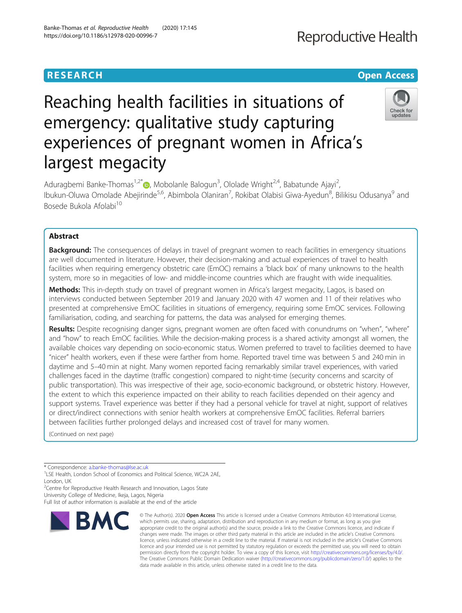## **RESEARCH CHE Open Access**

# Reaching health facilities in situations of emergency: qualitative study capturing experiences of pregnant women in Africa's largest megacity

Aduragbemi Banke-Thomas<sup>1,2[\\*](http://orcid.org/0000-0002-4449-0131)</sup>®, Mobolanle Balogun<sup>3</sup>, Ololade Wright<sup>2,4</sup>, Babatunde Ajayi<sup>2</sup> , Ibukun-Oluwa Omolade Abejirinde<sup>5,6</sup>, Abimbola Olaniran<sup>7</sup>, Rokibat Olabisi Giwa-Ayedun<sup>8</sup>, Bilikisu Odusanya<sup>9</sup> and Bosede Bukola Afolabi<sup>10</sup>

## Abstract

**Background:** The consequences of delays in travel of pregnant women to reach facilities in emergency situations are well documented in literature. However, their decision-making and actual experiences of travel to health facilities when requiring emergency obstetric care (EmOC) remains a 'black box' of many unknowns to the health system, more so in megacities of low- and middle-income countries which are fraught with wide inequalities.

Methods: This in-depth study on travel of pregnant women in Africa's largest megacity, Lagos, is based on interviews conducted between September 2019 and January 2020 with 47 women and 11 of their relatives who presented at comprehensive EmOC facilities in situations of emergency, requiring some EmOC services. Following familiarisation, coding, and searching for patterns, the data was analysed for emerging themes.

Results: Despite recognising danger signs, pregnant women are often faced with conundrums on "when", "where" and "how" to reach EmOC facilities. While the decision-making process is a shared activity amongst all women, the available choices vary depending on socio-economic status. Women preferred to travel to facilities deemed to have "nicer" health workers, even if these were farther from home. Reported travel time was between 5 and 240 min in daytime and 5–40 min at night. Many women reported facing remarkably similar travel experiences, with varied challenges faced in the daytime (traffic congestion) compared to night-time (security concerns and scarcity of public transportation). This was irrespective of their age, socio-economic background, or obstetric history. However, the extent to which this experience impacted on their ability to reach facilities depended on their agency and support systems. Travel experience was better if they had a personal vehicle for travel at night, support of relatives or direct/indirect connections with senior health workers at comprehensive EmOC facilities. Referral barriers between facilities further prolonged delays and increased cost of travel for many women.

(Continued on next page)

\* Correspondence: [a.banke-thomas@lse.ac.uk](mailto:a.banke-thomas@lse.ac.uk) <sup>1</sup>

<sup>1</sup>LSE Health, London School of Economics and Political Science, WC2A 2AE, London, UK

<sup>2</sup> Centre for Reproductive Health Research and Innovation, Lagos State University College of Medicine, Ikeja, Lagos, Nigeria

Full list of author information is available at the end of the article

© The Author(s), 2020 **Open Access** This article is licensed under a Creative Commons Attribution 4.0 International License,

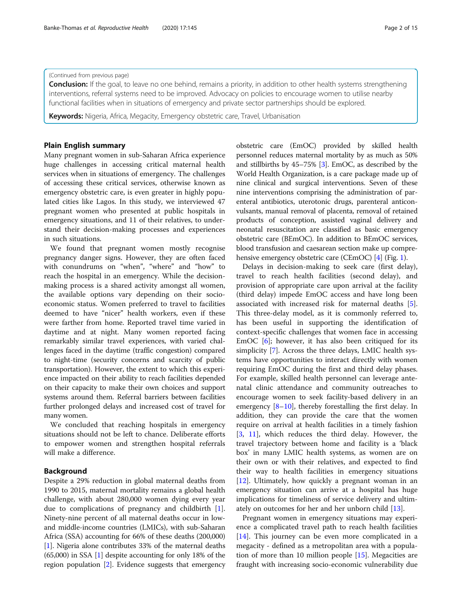## (Continued from previous page)

**Conclusion:** If the goal, to leave no one behind, remains a priority, in addition to other health systems strengthening interventions, referral systems need to be improved. Advocacy on policies to encourage women to utilise nearby functional facilities when in situations of emergency and private sector partnerships should be explored.

**Keywords:** Nigeria, Africa, Megacity, Emergency obstetric care, Travel, Urbanisation

#### Plain English summary

Many pregnant women in sub-Saharan Africa experience huge challenges in accessing critical maternal health services when in situations of emergency. The challenges of accessing these critical services, otherwise known as emergency obstetric care, is even greater in highly populated cities like Lagos. In this study, we interviewed 47 pregnant women who presented at public hospitals in emergency situations, and 11 of their relatives, to understand their decision-making processes and experiences in such situations.

We found that pregnant women mostly recognise pregnancy danger signs. However, they are often faced with conundrums on "when", "where" and "how" to reach the hospital in an emergency. While the decisionmaking process is a shared activity amongst all women, the available options vary depending on their socioeconomic status. Women preferred to travel to facilities deemed to have "nicer" health workers, even if these were farther from home. Reported travel time varied in daytime and at night. Many women reported facing remarkably similar travel experiences, with varied challenges faced in the daytime (traffic congestion) compared to night-time (security concerns and scarcity of public transportation). However, the extent to which this experience impacted on their ability to reach facilities depended on their capacity to make their own choices and support systems around them. Referral barriers between facilities further prolonged delays and increased cost of travel for many women.

We concluded that reaching hospitals in emergency situations should not be left to chance. Deliberate efforts to empower women and strengthen hospital referrals will make a difference.

## Background

Despite a 29% reduction in global maternal deaths from 1990 to 2015, maternal mortality remains a global health challenge, with about 280,000 women dying every year due to complications of pregnancy and childbirth [\[1](#page-12-0)]. Ninety-nine percent of all maternal deaths occur in lowand middle-income countries (LMICs), with sub-Saharan Africa (SSA) accounting for 66% of these deaths (200,000) [[1\]](#page-12-0). Nigeria alone contributes 33% of the maternal deaths (65,000) in SSA [\[1\]](#page-12-0) despite accounting for only 18% of the region population [[2](#page-12-0)]. Evidence suggests that emergency obstetric care (EmOC) provided by skilled health personnel reduces maternal mortality by as much as 50% and stillbirths by 45–75% [\[3](#page-12-0)]. EmOC, as described by the World Health Organization, is a care package made up of nine clinical and surgical interventions. Seven of these nine interventions comprising the administration of parenteral antibiotics, uterotonic drugs, parenteral anticonvulsants, manual removal of placenta, removal of retained products of conception, assisted vaginal delivery and neonatal resuscitation are classified as basic emergency obstetric care (BEmOC). In addition to BEmOC services, blood transfusion and caesarean section make up compre-hensive emergency obstetric care (CEmOC) [\[4](#page-12-0)] (Fig. [1\)](#page-2-0).

Delays in decision-making to seek care (first delay), travel to reach health facilities (second delay), and provision of appropriate care upon arrival at the facility (third delay) impede EmOC access and have long been associated with increased risk for maternal deaths [\[5](#page-12-0)]. This three-delay model, as it is commonly referred to, has been useful in supporting the identification of context-specific challenges that women face in accessing EmOC  $[6]$  $[6]$ ; however, it has also been critiqued for its simplicity [[7\]](#page-13-0). Across the three delays, LMIC health systems have opportunities to interact directly with women requiring EmOC during the first and third delay phases. For example, skilled health personnel can leverage antenatal clinic attendance and community outreaches to encourage women to seek facility-based delivery in an emergency  $[8-10]$  $[8-10]$  $[8-10]$ , thereby forestalling the first delay. In addition, they can provide the care that the women require on arrival at health facilities in a timely fashion [[3,](#page-12-0) [11](#page-13-0)], which reduces the third delay. However, the travel trajectory between home and facility is a 'black box' in many LMIC health systems, as women are on their own or with their relatives, and expected to find their way to health facilities in emergency situations [[12\]](#page-13-0). Ultimately, how quickly a pregnant woman in an emergency situation can arrive at a hospital has huge implications for timeliness of service delivery and ultimately on outcomes for her and her unborn child [[13\]](#page-13-0).

Pregnant women in emergency situations may experience a complicated travel path to reach health facilities [[14\]](#page-13-0). This journey can be even more complicated in a megacity - defined as a metropolitan area with a population of more than 10 million people [[15\]](#page-13-0). Megacities are fraught with increasing socio-economic vulnerability due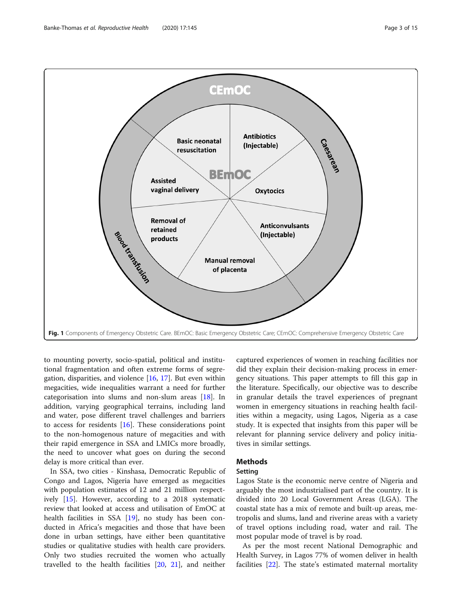<span id="page-2-0"></span>Banke-Thomas et al. Reproductive Health (2020) 17:145 Page 3 of 15



to mounting poverty, socio-spatial, political and institutional fragmentation and often extreme forms of segregation, disparities, and violence  $[16, 17]$  $[16, 17]$  $[16, 17]$  $[16, 17]$ . But even within megacities, wide inequalities warrant a need for further categorisation into slums and non-slum areas [[18\]](#page-13-0). In addition, varying geographical terrains, including land and water, pose different travel challenges and barriers to access for residents [[16\]](#page-13-0). These considerations point to the non-homogenous nature of megacities and with their rapid emergence in SSA and LMICs more broadly, the need to uncover what goes on during the second delay is more critical than ever.

In SSA, two cities - Kinshasa, Democratic Republic of Congo and Lagos, Nigeria have emerged as megacities with population estimates of 12 and 21 million respectively [[15](#page-13-0)]. However, according to a 2018 systematic review that looked at access and utilisation of EmOC at health facilities in SSA [[19\]](#page-13-0), no study has been conducted in Africa's megacities and those that have been done in urban settings, have either been quantitative studies or qualitative studies with health care providers. Only two studies recruited the women who actually travelled to the health facilities [[20](#page-13-0), [21\]](#page-13-0), and neither

captured experiences of women in reaching facilities nor did they explain their decision-making process in emergency situations. This paper attempts to fill this gap in the literature. Specifically, our objective was to describe in granular details the travel experiences of pregnant women in emergency situations in reaching health facilities within a megacity, using Lagos, Nigeria as a case study. It is expected that insights from this paper will be relevant for planning service delivery and policy initiatives in similar settings.

## Methods

## Setting

Lagos State is the economic nerve centre of Nigeria and arguably the most industrialised part of the country. It is divided into 20 Local Government Areas (LGA). The coastal state has a mix of remote and built-up areas, metropolis and slums, land and riverine areas with a variety of travel options including road, water and rail. The most popular mode of travel is by road.

As per the most recent National Demographic and Health Survey, in Lagos 77% of women deliver in health facilities [[22\]](#page-13-0). The state's estimated maternal mortality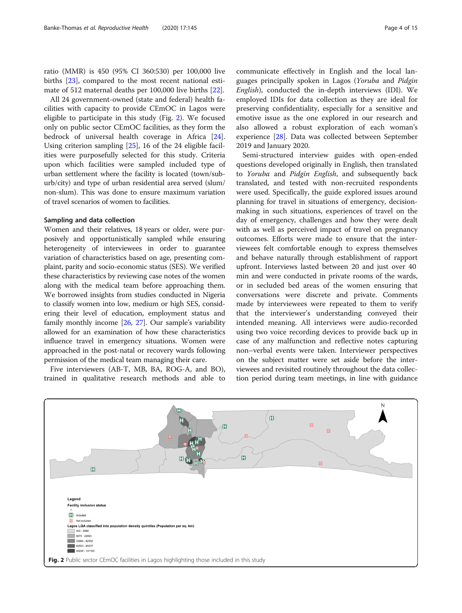ratio (MMR) is 450 (95% CI 360:530) per 100,000 live births [[23\]](#page-13-0), compared to the most recent national estimate of 512 maternal deaths per 100,000 live births [\[22\]](#page-13-0).

All 24 government-owned (state and federal) health facilities with capacity to provide CEmOC in Lagos were eligible to participate in this study (Fig. 2). We focused only on public sector CEmOC facilities, as they form the bedrock of universal health coverage in Africa [\[24](#page-13-0)]. Using criterion sampling [\[25](#page-13-0)], 16 of the 24 eligible facilities were purposefully selected for this study. Criteria upon which facilities were sampled included type of urban settlement where the facility is located (town/suburb/city) and type of urban residential area served (slum/ non-slum). This was done to ensure maximum variation of travel scenarios of women to facilities.

### Sampling and data collection

Women and their relatives, 18 years or older, were purposively and opportunistically sampled while ensuring heterogeneity of interviewees in order to guarantee variation of characteristics based on age, presenting complaint, parity and socio-economic status (SES). We verified these characteristics by reviewing case notes of the women along with the medical team before approaching them. We borrowed insights from studies conducted in Nigeria to classify women into low, medium or high SES, considering their level of education, employment status and family monthly income [\[26,](#page-13-0) [27\]](#page-13-0). Our sample's variability allowed for an examination of how these characteristics influence travel in emergency situations. Women were approached in the post-natal or recovery wards following permission of the medical team managing their care.

Five interviewers (AB-T, MB, BA, ROG-A, and BO), trained in qualitative research methods and able to communicate effectively in English and the local languages principally spoken in Lagos (Yoruba and Pidgin English), conducted the in-depth interviews (IDI). We employed IDIs for data collection as they are ideal for preserving confidentiality, especially for a sensitive and emotive issue as the one explored in our research and also allowed a robust exploration of each woman's experience [[28](#page-13-0)]. Data was collected between September 2019 and January 2020.

Semi-structured interview guides with open-ended questions developed originally in English, then translated to Yoruba and Pidgin English, and subsequently back translated, and tested with non-recruited respondents were used. Specifically, the guide explored issues around planning for travel in situations of emergency, decisionmaking in such situations, experiences of travel on the day of emergency, challenges and how they were dealt with as well as perceived impact of travel on pregnancy outcomes. Efforts were made to ensure that the interviewees felt comfortable enough to express themselves and behave naturally through establishment of rapport upfront. Interviews lasted between 20 and just over 40 min and were conducted in private rooms of the wards, or in secluded bed areas of the women ensuring that conversations were discrete and private. Comments made by interviewees were repeated to them to verify that the interviewer's understanding conveyed their intended meaning. All interviews were audio-recorded using two voice recording devices to provide back up in case of any malfunction and reflective notes capturing non–verbal events were taken. Interviewer perspectives on the subject matter were set aside before the interviewees and revisited routinely throughout the data collection period during team meetings, in line with guidance

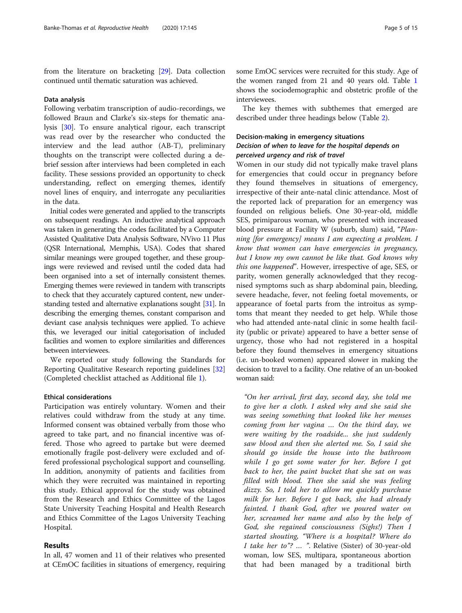from the literature on bracketing [\[29](#page-13-0)]. Data collection continued until thematic saturation was achieved.

#### Data analysis

Following verbatim transcription of audio-recordings, we followed Braun and Clarke's six-steps for thematic analysis [\[30\]](#page-13-0). To ensure analytical rigour, each transcript was read over by the researcher who conducted the interview and the lead author (AB-T), preliminary thoughts on the transcript were collected during a debrief session after interviews had been completed in each facility. These sessions provided an opportunity to check understanding, reflect on emerging themes, identify novel lines of enquiry, and interrogate any peculiarities in the data.

Initial codes were generated and applied to the transcripts on subsequent readings. An inductive analytical approach was taken in generating the codes facilitated by a Computer Assisted Qualitative Data Analysis Software, NVivo 11 Plus (QSR International, Memphis, USA). Codes that shared similar meanings were grouped together, and these groupings were reviewed and revised until the coded data had been organised into a set of internally consistent themes. Emerging themes were reviewed in tandem with transcripts to check that they accurately captured content, new understanding tested and alternative explanations sought [[31\]](#page-13-0). In describing the emerging themes, constant comparison and deviant case analysis techniques were applied. To achieve this, we leveraged our initial categorisation of included facilities and women to explore similarities and differences between interviewees.

We reported our study following the Standards for Reporting Qualitative Research reporting guidelines [[32](#page-13-0)] (Completed checklist attached as Additional file [1\)](#page-12-0).

## Ethical considerations

Participation was entirely voluntary. Women and their relatives could withdraw from the study at any time. Informed consent was obtained verbally from those who agreed to take part, and no financial incentive was offered. Those who agreed to partake but were deemed emotionally fragile post-delivery were excluded and offered professional psychological support and counselling. In addition, anonymity of patients and facilities from which they were recruited was maintained in reporting this study. Ethical approval for the study was obtained from the Research and Ethics Committee of the Lagos State University Teaching Hospital and Health Research and Ethics Committee of the Lagos University Teaching Hospital.

## Results

In all, 47 women and 11 of their relatives who presented at CEmOC facilities in situations of emergency, requiring some EmOC services were recruited for this study. Age of the women ranged from 21 and 40 years old. Table [1](#page-5-0) shows the sociodemographic and obstetric profile of the interviewees.

The key themes with subthemes that emerged are described under three headings below (Table [2](#page-6-0)).

## Decision-making in emergency situations Decision of when to leave for the hospital depends on perceived urgency and risk of travel

Women in our study did not typically make travel plans for emergencies that could occur in pregnancy before they found themselves in situations of emergency, irrespective of their ante-natal clinic attendance. Most of the reported lack of preparation for an emergency was founded on religious beliefs. One 30-year-old, middle SES, primiparous woman, who presented with increased blood pressure at Facility W (suburb, slum) said, "Planning [for emergency] means I am expecting a problem. I know that women can have emergencies in pregnancy, but I know my own cannot be like that. God knows why this one happened". However, irrespective of age, SES, or parity, women generally acknowledged that they recognised symptoms such as sharp abdominal pain, bleeding, severe headache, fever, not feeling foetal movements, or appearance of foetal parts from the introitus as symptoms that meant they needed to get help. While those who had attended ante-natal clinic in some health facility (public or private) appeared to have a better sense of urgency, those who had not registered in a hospital before they found themselves in emergency situations (i.e. un-booked women) appeared slower in making the decision to travel to a facility. One relative of an un-booked woman said:

"On her arrival, first day, second day, she told me to give her a cloth. I asked why and she said she was seeing something that looked like her menses coming from her vagina … On the third day, we were waiting by the roadside... she just suddenly saw blood and then she alerted me. So, I said she should go inside the house into the bathroom while I go get some water for her. Before I got back to her, the paint bucket that she sat on was filled with blood. Then she said she was feeling dizzy. So, I told her to allow me quickly purchase milk for her. Before I got back, she had already fainted. I thank God, after we poured water on her, screamed her name and also by the help of God, she regained consciousness (Sighs!) Then I started shouting, "Where is a hospital? Where do I take her to"? … ". Relative (Sister) of 30-year-old woman, low SES, multipara, spontaneous abortion that had been managed by a traditional birth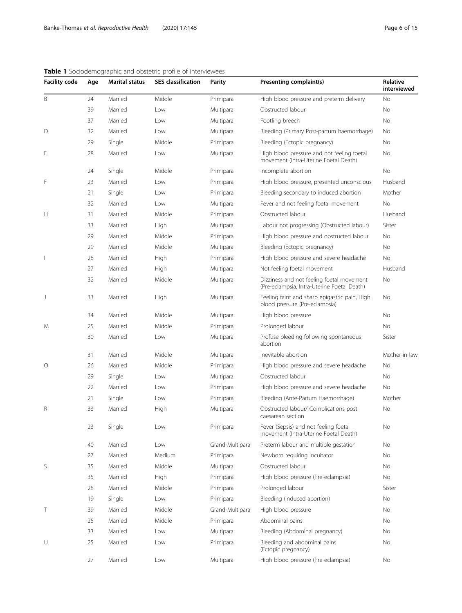| <b>Facility code</b> | Age | <b>Marital status</b> | <b>SES</b> classification | <b>Parity</b>   | Presenting complaint(s)                                                                  | <b>Relative</b><br>interviewed |
|----------------------|-----|-----------------------|---------------------------|-----------------|------------------------------------------------------------------------------------------|--------------------------------|
| B                    | 24  | Married               | Middle                    | Primipara       | High blood pressure and preterm delivery                                                 | No                             |
|                      | 39  | Married               | Low                       | Multipara       | Obstructed labour                                                                        | <b>No</b>                      |
|                      | 37  | Married               | Low                       | Multipara       | Footling breech                                                                          | <b>No</b>                      |
| D                    | 32  | Married               | Low                       | Multipara       | Bleeding (Primary Post-partum haemorrhage)                                               | No                             |
|                      | 29  | Single                | Middle                    | Primipara       | Bleeding (Ectopic pregnancy)                                                             | <b>No</b>                      |
| Ε                    | 28  | Married               | Low                       | Multipara       | High blood pressure and not feeling foetal<br>movement (Intra-Uterine Foetal Death)      | No                             |
|                      | 24  | Single                | Middle                    | Primipara       | Incomplete abortion                                                                      | No                             |
| F                    | 23  | Married               | Low                       | Primipara       | High blood pressure, presented unconscious                                               | Husband                        |
|                      | 21  | Single                | Low                       | Primipara       | Bleeding secondary to induced abortion                                                   | Mother                         |
|                      | 32  | Married               | Low                       | Multipara       | Fever and not feeling foetal movement                                                    | No                             |
| Н                    | 31  | Married               | Middle                    | Primipara       | Obstructed labour                                                                        | Husband                        |
|                      | 33  | Married               | High                      | Multipara       | Labour not progressing (Obstructed labour)                                               | Sister                         |
|                      | 29  | Married               | Middle                    | Primipara       | High blood pressure and obstructed labour                                                | No                             |
|                      | 29  | Married               | Middle                    | Multipara       | Bleeding (Ectopic pregnancy)                                                             | <b>No</b>                      |
| $\mathbf{I}$         | 28  | Married               | High                      | Primipara       | High blood pressure and severe headache                                                  | <b>No</b>                      |
|                      | 27  | Married               | High                      | Multipara       | Not feeling foetal movement                                                              | Husband                        |
|                      | 32  | Married               | Middle                    | Multipara       | Dizziness and not feeling foetal movement<br>(Pre-eclampsia, Intra-Uterine Foetal Death) | <b>No</b>                      |
| J                    | 33  | Married               | High                      | Multipara       | Feeling faint and sharp epigastric pain, High<br>blood pressure (Pre-eclampsia)          | <b>No</b>                      |
|                      | 34  | Married               | Middle                    | Multipara       | High blood pressure                                                                      | No                             |
| M                    | 25  | Married               | Middle                    | Primipara       | Prolonged labour                                                                         | <b>No</b>                      |
|                      | 30  | Married               | Low                       | Multipara       | Profuse bleeding following spontaneous<br>abortion                                       | Sister                         |
|                      | 31  | Married               | Middle                    | Multipara       | Inevitable abortion                                                                      | Mother-in-law                  |
| $\circ$              | 26  | Married               | Middle                    | Primipara       | High blood pressure and severe headache                                                  | <b>No</b>                      |
|                      | 29  | Single                | Low                       | Multipara       | Obstructed labour                                                                        | No                             |
|                      | 22  | Married               | Low                       | Primipara       | High blood pressure and severe headache                                                  | No                             |
|                      | 21  | Single                | Low                       | Primipara       | Bleeding (Ante-Partum Haemorrhage)                                                       | Mother                         |
| R                    | 33  | Married               | High                      | Multipara       | Obstructed labour/ Complications post<br>caesarean section                               | <b>No</b>                      |
|                      | 23  | Single                | Low                       | Primipara       | Fever (Sepsis) and not feeling foetal<br>movement (Intra-Uterine Foetal Death)           | No                             |
|                      | 40  | Married               | Low                       | Grand-Multipara | Preterm labour and multiple gestation                                                    | No                             |
|                      | 27  | Married               | Medium                    | Primipara       | Newborn requiring incubator                                                              | No                             |
| S                    | 35  | Married               | Middle                    | Multipara       | Obstructed labour                                                                        | No                             |
|                      | 35  | Married               | High                      | Primipara       | High blood pressure (Pre-eclampsia)                                                      | No                             |
|                      | 28  | Married               | Middle                    | Primipara       | Prolonged labour                                                                         | Sister                         |
|                      | 19  | Single                | Low                       | Primipara       | Bleeding (Induced abortion)                                                              | No                             |
| Τ                    | 39  | Married               | Middle                    | Grand-Multipara | High blood pressure                                                                      | No                             |
|                      | 25  | Married               | Middle                    | Primipara       | Abdominal pains                                                                          | No                             |
|                      | 33  | Married               | Low                       | Multipara       | Bleeding (Abdominal pregnancy)                                                           | No                             |
| U                    | 25  | Married               | Low                       | Primipara       | Bleeding and abdominal pains<br>(Ectopic pregnancy)                                      | No                             |
|                      | 27  | Married               | Low                       | Multipara       | High blood pressure (Pre-eclampsia)                                                      | No                             |

<span id="page-5-0"></span>Table 1 Sociodemographic and obstetric profile of interviewees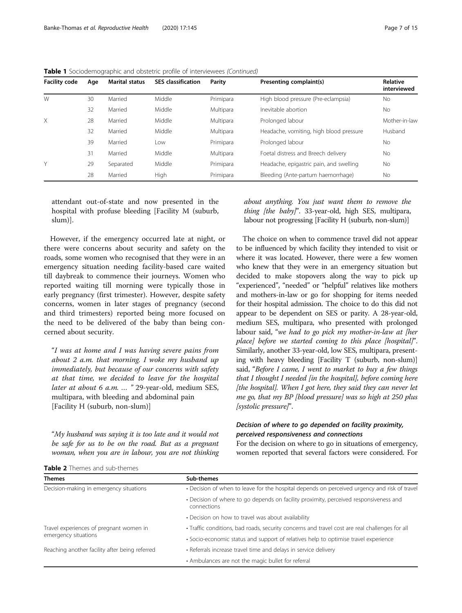| <b>Facility code</b> | Age | <b>Marital status</b> | <b>SES classification</b> | Parity    | Presenting complaint(s)                 | Relative<br>interviewed |
|----------------------|-----|-----------------------|---------------------------|-----------|-----------------------------------------|-------------------------|
| W                    | 30  | Married               | Middle                    | Primipara | High blood pressure (Pre-eclampsia)     | <b>No</b>               |
|                      | 32  | Married               | Middle                    | Multipara | Inevitable abortion                     | <b>No</b>               |
| $\times$             | 28  | Married               | Middle                    | Multipara | Prolonged labour                        | Mother-in-law           |
|                      | 32  | Married               | Middle                    | Multipara | Headache, vomiting, high blood pressure | Husband                 |
|                      | 39  | Married               | Low                       | Primipara | Prolonged labour                        | <b>No</b>               |
|                      | 31  | Married               | Middle                    | Multipara | Foetal distress and Breech delivery     | No                      |
| $\vee$               | 29  | Separated             | Middle                    | Primipara | Headache, epigastric pain, and swelling | No                      |
|                      | 28  | Married               | <b>High</b>               | Primipara | Bleeding (Ante-partum haemorrhage)      | No                      |

<span id="page-6-0"></span>Table 1 Sociodemographic and obstetric profile of interviewees (Continued)

attendant out-of-state and now presented in the hospital with profuse bleeding [Facility M (suburb, slum)].

However, if the emergency occurred late at night, or there were concerns about security and safety on the roads, some women who recognised that they were in an emergency situation needing facility-based care waited till daybreak to commence their journeys. Women who reported waiting till morning were typically those in early pregnancy (first trimester). However, despite safety concerns, women in later stages of pregnancy (second and third trimesters) reported being more focused on the need to be delivered of the baby than being concerned about security.

"I was at home and I was having severe pains from about 2 a.m. that morning. I woke my husband up immediately, but because of our concerns with safety at that time, we decided to leave for the hospital later at about 6 a.m. ... " 29-year-old, medium SES, multipara, with bleeding and abdominal pain [Facility H (suburb, non-slum)]

"My husband was saying it is too late and it would not be safe for us to be on the road. But as a pregnant woman, when you are in labour, you are not thinking about anything. You just want them to remove the thing [the baby]". 33-year-old, high SES, multipara, labour not progressing [Facility H (suburb, non-slum)]

The choice on when to commence travel did not appear to be influenced by which facility they intended to visit or where it was located. However, there were a few women who knew that they were in an emergency situation but decided to make stopovers along the way to pick up "experienced", "needed" or "helpful" relatives like mothers and mothers-in-law or go for shopping for items needed for their hospital admission. The choice to do this did not appear to be dependent on SES or parity. A 28-year-old, medium SES, multipara, who presented with prolonged labour said, "we had to go pick my mother-in-law at [her place] before we started coming to this place [hospital]". Similarly, another 33-year-old, low SES, multipara, presenting with heavy bleeding [Facility T (suburb, non-slum)] said, "Before I came, I went to market to buy a few things that I thought I needed [in the hospital], before coming here  $[$ the hospital $]$ . When I got here, they said they can never let me go, that my BP [blood pressure] was so high at 250 plus [systolic pressure]".

## Decision of where to go depended on facility proximity, perceived responsiveness and connections

For the decision on where to go in situations of emergency, women reported that several factors were considered. For

Table 2 Themes and sub-themes

| <b>Themes</b>                                  | Sub-themes                                                                                           |  |  |
|------------------------------------------------|------------------------------------------------------------------------------------------------------|--|--|
| Decision-making in emergency situations        | • Decision of when to leave for the hospital depends on perceived urgency and risk of travel         |  |  |
|                                                | • Decision of where to go depends on facility proximity, perceived responsiveness and<br>connections |  |  |
|                                                | • Decision on how to travel was about availability                                                   |  |  |
| Travel experiences of pregnant women in        | • Traffic conditions, bad roads, security concerns and travel cost are real challenges for all       |  |  |
| emergency situations                           | • Socio-economic status and support of relatives help to optimise travel experience                  |  |  |
| Reaching another facility after being referred | • Referrals increase travel time and delays in service delivery                                      |  |  |
|                                                | • Ambulances are not the magic bullet for referral                                                   |  |  |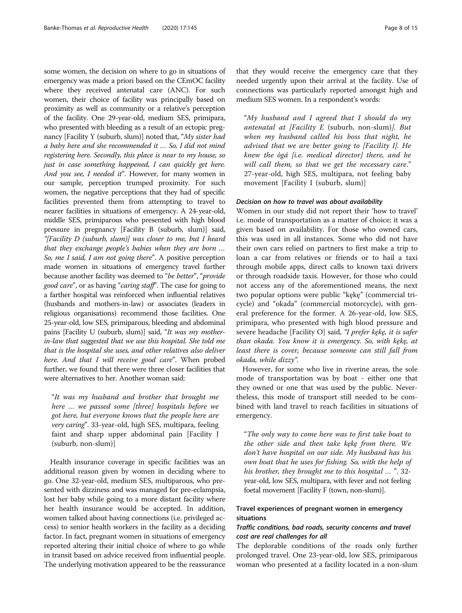some women, the decision on where to go in situations of emergency was made a priori based on the CEmOC facility where they received antenatal care (ANC). For such women, their choice of facility was principally based on proximity as well as community or a relative's perception of the facility. One 29-year-old, medium SES, primipara, who presented with bleeding as a result of an ectopic pregnancy [Facility Y (suburb, slum)] noted that, " $My$  sister had a baby here and she recommended it … So, I did not mind registering here. Secondly, this place is near to my house, so just in case something happened, I can quickly get here. And you see, I needed it". However, for many women in our sample, perception trumped proximity. For such women, the negative perceptions that they had of specific facilities prevented them from attempting to travel to nearer facilities in situations of emergency. A 24-year-old, middle SES, primiparous who presented with high blood pressure in pregnancy [Facility B (suburb, slum)] said, "[Facility  $D$  (suburb, slum)] was closer to me, but I heard that they exchange people's babies when they are born … So, me I said, I am not going there". A positive perception made women in situations of emergency travel further because another facility was deemed to "be better", "provide good care", or as having "caring staff". The case for going to a farther hospital was reinforced when influential relatives (husbands and mothers-in-law) or associates (leaders in religious organisations) recommend those facilities. One 25-year-old, low SES, primiparous, bleeding and abdominal pains [Facility U (suburb, slum)] said, "It was my motherin-law that suggested that we use this hospital. She told me that is the hospital she uses, and other relatives also deliver here. And that I will receive good care". When probed further, we found that there were three closer facilities that were alternatives to her. Another woman said:

"It was my husband and brother that brought me here … we passed some [three] hospitals before we got here, but everyone knows that the people here are very caring". 33-year-old, high SES, multipara, feeling faint and sharp upper abdominal pain [Facility J (suburb, non-slum)]

Health insurance coverage in specific facilities was an additional reason given by women in deciding where to go. One 32-year-old, medium SES, multiparous, who presented with dizziness and was managed for pre-eclampsia, lost her baby while going to a more distant facility where her health insurance would be accepted. In addition, women talked about having connections (i.e. privileged access) to senior health workers in the facility as a deciding factor. In fact, pregnant women in situations of emergency reported altering their initial choice of where to go while in transit based on advice received from influential people. The underlying motivation appeared to be the reassurance that they would receive the emergency care that they needed urgently upon their arrival at the facility. Use of connections was particularly reported amongst high and medium SES women. In a respondent's words:

"My husband and I agreed that I should do my antenatal at [Facility E (suburb, non-slum)]. But when my husband called his boss that night, he advised that we are better going to [Facility I]. He knew the ògá [i.e. medical director] there, and he will call them, so that we get the necessary care." 27-year-old, high SES, multipara, not feeling baby movement [Facility I (suburb, slum)]

#### Decision on how to travel was about availability

Women in our study did not report their 'how to travel' i.e. mode of transportation as a matter of choice; it was a given based on availability. For those who owned cars, this was used in all instances. Some who did not have their own cars relied on partners to first make a trip to loan a car from relatives or friends or to hail a taxi through mobile apps, direct calls to known taxi drivers or through roadside taxis. However, for those who could not access any of the aforementioned means, the next two popular options were public "kękę" (commercial tricycle) and "okada" (commercial motorcycle), with general preference for the former. A 26-year-old, low SES, primipara, who presented with high blood pressure and severe headache [Facility O] said, "I prefer kękę, it is safer than okada. You know it is emergency. So, with kękę, at least there is cover, because someone can still fall from okada, while dizzy".

However, for some who live in riverine areas, the sole mode of transportation was by boat - either one that they owned or one that was used by the public. Nevertheless, this mode of transport still needed to be combined with land travel to reach facilities in situations of emergency.

"The only way to come here was to first take boat to the other side and then take kękę from there. We don't have hospital on our side. My husband has his own boat that he uses for fishing. So, with the help of his brother, they brought me to this hospital … ". 32 year-old, low SES, multipara, with fever and not feeling foetal movement [Facility F (town, non-slum)].

## Travel experiences of pregnant women in emergency situations

## Traffic conditions, bad roads, security concerns and travel cost are real challenges for all

The deplorable conditions of the roads only further prolonged travel. One 23-year-old, low SES, primiparous woman who presented at a facility located in a non-slum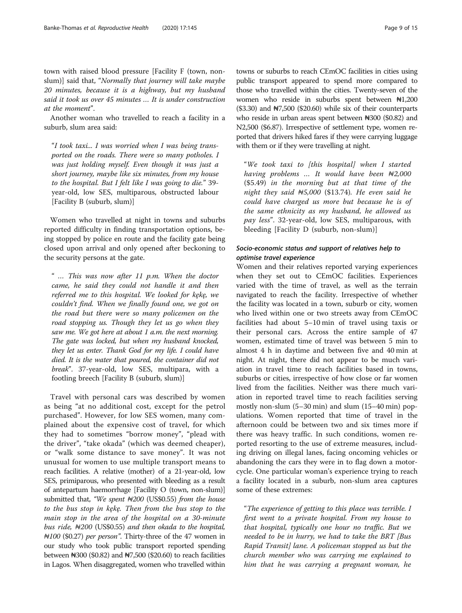town with raised blood pressure [Facility F (town, nonslum)] said that, "Normally that journey will take maybe 20 minutes, because it is a highway, but my husband said it took us over 45 minutes … It is under construction at the moment".

Another woman who travelled to reach a facility in a suburb, slum area said:

"I took taxi... I was worried when I was being transported on the roads. There were so many potholes. I was just holding myself. Even though it was just a short journey, maybe like six minutes, from my house to the hospital. But I felt like I was going to die." 39 year-old, low SES, multiparous, obstructed labour [Facility B (suburb, slum)]

Women who travelled at night in towns and suburbs reported difficulty in finding transportation options, being stopped by police en route and the facility gate being closed upon arrival and only opened after beckoning to the security persons at the gate.

" … This was now after 11 p.m. When the doctor came, he said they could not handle it and then referred me to this hospital. We looked for kękę, we couldn't find. When we finally found one, we got on the road but there were so many policemen on the road stopping us. Though they let us go when they saw me. We got here at about 1 a.m. the next morning. The gate was locked, but when my husband knocked, they let us enter. Thank God for my life. I could have died. It is the water that poured, the container did not break". 37-year-old, low SES, multipara, with a footling breech [Facility B (suburb, slum)]

Travel with personal cars was described by women as being "at no additional cost, except for the petrol purchased". However, for low SES women, many complained about the expensive cost of travel, for which they had to sometimes "borrow money", "plead with the driver", "take okada" (which was deemed cheaper), or "walk some distance to save money". It was not unusual for women to use multiple transport means to reach facilities. A relative (mother) of a 21-year-old, low SES, primiparous, who presented with bleeding as a result of antepartum haemorrhage [Facility O (town, non-slum)] submitted that, "We spent  $\#200$  (US\$0.55) from the house to the bus stop in kękę. Then from the bus stop to the main stop in the area of the hospital on a 30-minute bus ride, ₦200 (US\$0.55) and then okada to the hospital, ₦100 (\$0.27) per person". Thirty-three of the 47 women in our study who took public transport reported spending between  $\text{H}300$  (\$0.82) and  $\text{H}7,500$  (\$20.60) to reach facilities in Lagos. When disaggregated, women who travelled within

towns or suburbs to reach CEmOC facilities in cities using public transport appeared to spend more compared to those who travelled within the cities. Twenty-seven of the women who reside in suburbs spent between  $\text{H1,200}$  $($3.30)$  and  $\frac{1}{10}$ ,  $500 ($20.60)$  while six of their counterparts who reside in urban areas spent between ₦300 (\$0.82) and N2,500 (\$6.87). Irrespective of settlement type, women reported that drivers hiked fares if they were carrying luggage with them or if they were travelling at night.

"We took taxi to [this hospital] when I started having problems ... It would have been  $\#2,000$ (\$5.49) in the morning but at that time of the night they said ₦5,000 (\$13.74). He even said he could have charged us more but because he is of the same ethnicity as my husband, he allowed us pay less". 32-year-old, low SES, multiparous, with bleeding [Facility D (suburb, non-slum)]

## Socio-economic status and support of relatives help to optimise travel experience

Women and their relatives reported varying experiences when they set out to CEmOC facilities. Experiences varied with the time of travel, as well as the terrain navigated to reach the facility. Irrespective of whether the facility was located in a town, suburb or city, women who lived within one or two streets away from CEmOC facilities had about 5–10 min of travel using taxis or their personal cars. Across the entire sample of 47 women, estimated time of travel was between 5 min to almost 4 h in daytime and between five and 40 min at night. At night, there did not appear to be much variation in travel time to reach facilities based in towns, suburbs or cities, irrespective of how close or far women lived from the facilities. Neither was there much variation in reported travel time to reach facilities serving mostly non-slum (5–30 min) and slum (15–40 min) populations. Women reported that time of travel in the afternoon could be between two and six times more if there was heavy traffic. In such conditions, women reported resorting to the use of extreme measures, including driving on illegal lanes, facing oncoming vehicles or abandoning the cars they were in to flag down a motorcycle. One particular woman's experience trying to reach a facility located in a suburb, non-slum area captures some of these extremes:

"The experience of getting to this place was terrible. I first went to a private hospital. From my house to that hospital, typically one hour no traffic. But we needed to be in hurry, we had to take the BRT [Bus Rapid Transit] lane. A policeman stopped us but the church member who was carrying me explained to him that he was carrying a pregnant woman, he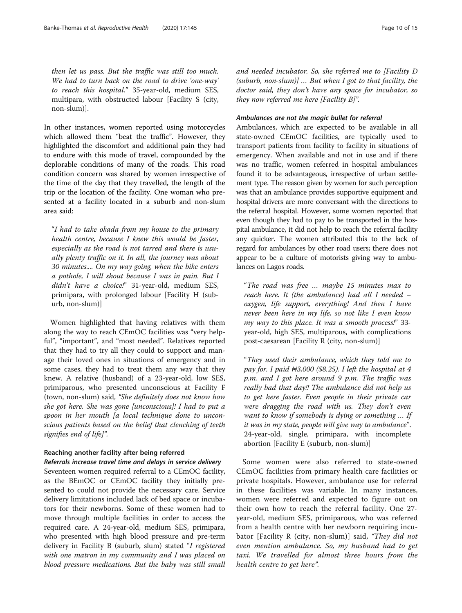then let us pass. But the traffic was still too much. We had to turn back on the road to drive 'one-way' to reach this hospital." 35-year-old, medium SES, multipara, with obstructed labour [Facility S (city, non-slum)].

In other instances, women reported using motorcycles which allowed them "beat the traffic". However, they highlighted the discomfort and additional pain they had to endure with this mode of travel, compounded by the deplorable conditions of many of the roads. This road condition concern was shared by women irrespective of the time of the day that they travelled, the length of the trip or the location of the facility. One woman who presented at a facility located in a suburb and non-slum area said:

"I had to take okada from my house to the primary health centre, because I knew this would be faster, especially as the road is not tarred and there is usually plenty traffic on it. In all, the journey was about 30 minutes.... On my way going, when the bike enters a pothole, I will shout because I was in pain. But I didn't have a choice!" 31-year-old, medium SES, primipara, with prolonged labour [Facility H (suburb, non-slum)]

Women highlighted that having relatives with them along the way to reach CEmOC facilities was "very helpful", "important", and "most needed". Relatives reported that they had to try all they could to support and manage their loved ones in situations of emergency and in some cases, they had to treat them any way that they knew. A relative (husband) of a 23-year-old, low SES, primiparous, who presented unconscious at Facility F (town, non-slum) said, "She definitely does not know how she got here. She was gone [unconscious]! I had to put a spoon in her mouth [a local technique done to unconscious patients based on the belief that clenching of teeth signifies end of life]".

## Reaching another facility after being referred

Referrals increase travel time and delays in service delivery Seventeen women required referral to a CEmOC facility,

as the BEmOC or CEmOC facility they initially presented to could not provide the necessary care. Service delivery limitations included lack of bed space or incubators for their newborns. Some of these women had to move through multiple facilities in order to access the required care. A 24-year-old, medium SES, primipara, who presented with high blood pressure and pre-term delivery in Facility B (suburb, slum) stated "I registered with one matron in my community and I was placed on blood pressure medications. But the baby was still small and needed incubator. So, she referred me to [Facility D (suburb, non-slum)] … But when I got to that facility, the doctor said, they don't have any space for incubator, so they now referred me here [Facility  $B$ ]".

## Ambulances are not the magic bullet for referral

Ambulances, which are expected to be available in all state-owned CEmOC facilities, are typically used to transport patients from facility to facility in situations of emergency. When available and not in use and if there was no traffic, women referred in hospital ambulances found it to be advantageous, irrespective of urban settlement type. The reason given by women for such perception was that an ambulance provides supportive equipment and hospital drivers are more conversant with the directions to the referral hospital. However, some women reported that even though they had to pay to be transported in the hospital ambulance, it did not help to reach the referral facility any quicker. The women attributed this to the lack of regard for ambulances by other road users; there does not appear to be a culture of motorists giving way to ambulances on Lagos roads.

"The road was free … maybe 15 minutes max to reach here. It (the ambulance) had all I needed – oxygen, life support, everything! And then I have never been here in my life, so not like I even know my way to this place. It was a smooth process!" 33 year-old, high SES, multiparous, with complications post-caesarean [Facility R (city, non-slum)]

"They used their ambulance, which they told me to pay for. I paid  $\#3,000$  (\$8.25). I left the hospital at 4 p.m. and I got here around 9 p.m. The traffic was really bad that day!! The ambulance did not help us to get here faster. Even people in their private car were dragging the road with us. They don't even want to know if somebody is dying or something … If it was in my state, people will give way to ambulance". 24-year-old, single, primipara, with incomplete abortion [Facility E (suburb, non-slum)]

Some women were also referred to state-owned CEmOC facilities from primary health care facilities or private hospitals. However, ambulance use for referral in these facilities was variable. In many instances, women were referred and expected to figure out on their own how to reach the referral facility. One 27 year-old, medium SES, primiparous, who was referred from a health centre with her newborn requiring incubator [Facility R (city, non-slum)] said, "They did not even mention ambulance. So, my husband had to get taxi. We travelled for almost three hours from the health centre to get here".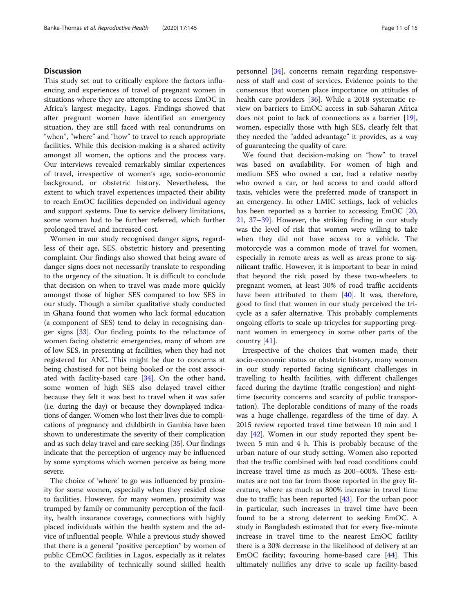## **Discussion**

This study set out to critically explore the factors influencing and experiences of travel of pregnant women in situations where they are attempting to access EmOC in Africa's largest megacity, Lagos. Findings showed that after pregnant women have identified an emergency situation, they are still faced with real conundrums on "when", "where" and "how" to travel to reach appropriate facilities. While this decision-making is a shared activity amongst all women, the options and the process vary. Our interviews revealed remarkably similar experiences of travel, irrespective of women's age, socio-economic background, or obstetric history. Nevertheless, the extent to which travel experiences impacted their ability to reach EmOC facilities depended on individual agency and support systems. Due to service delivery limitations, some women had to be further referred, which further prolonged travel and increased cost.

Women in our study recognised danger signs, regardless of their age, SES, obstetric history and presenting complaint. Our findings also showed that being aware of danger signs does not necessarily translate to responding to the urgency of the situation. It is difficult to conclude that decision on when to travel was made more quickly amongst those of higher SES compared to low SES in our study. Though a similar qualitative study conducted in Ghana found that women who lack formal education (a component of SES) tend to delay in recognising danger signs [[33\]](#page-13-0). Our finding points to the reluctance of women facing obstetric emergencies, many of whom are of low SES, in presenting at facilities, when they had not registered for ANC. This might be due to concerns at being chastised for not being booked or the cost associated with facility-based care [\[34](#page-13-0)]. On the other hand, some women of high SES also delayed travel either because they felt it was best to travel when it was safer (i.e. during the day) or because they downplayed indications of danger. Women who lost their lives due to complications of pregnancy and childbirth in Gambia have been shown to underestimate the severity of their complication and as such delay travel and care seeking [\[35\]](#page-13-0). Our findings indicate that the perception of urgency may be influenced by some symptoms which women perceive as being more severe.

The choice of 'where' to go was influenced by proximity for some women, especially when they resided close to facilities. However, for many women, proximity was trumped by family or community perception of the facility, health insurance coverage, connections with highly placed individuals within the health system and the advice of influential people. While a previous study showed that there is a general "positive perception" by women of public CEmOC facilities in Lagos, especially as it relates to the availability of technically sound skilled health personnel [[34\]](#page-13-0), concerns remain regarding responsiveness of staff and cost of services. Evidence points to the consensus that women place importance on attitudes of health care providers [\[36](#page-13-0)]. While a 2018 systematic review on barriers to EmOC access in sub-Saharan Africa does not point to lack of connections as a barrier [\[19](#page-13-0)], women, especially those with high SES, clearly felt that they needed the "added advantage" it provides, as a way of guaranteeing the quality of care.

We found that decision-making on "how" to travel was based on availability. For women of high and medium SES who owned a car, had a relative nearby who owned a car, or had access to and could afford taxis, vehicles were the preferred mode of transport in an emergency. In other LMIC settings, lack of vehicles has been reported as a barrier to accessing EmOC [[20](#page-13-0), [21,](#page-13-0) [37](#page-13-0)–[39\]](#page-13-0). However, the striking finding in our study was the level of risk that women were willing to take when they did not have access to a vehicle. The motorcycle was a common mode of travel for women, especially in remote areas as well as areas prone to significant traffic. However, it is important to bear in mind that beyond the risk posed by these two-wheelers to pregnant women, at least 30% of road traffic accidents have been attributed to them [[40](#page-13-0)]. It was, therefore, good to find that women in our study perceived the tricycle as a safer alternative. This probably complements ongoing efforts to scale up tricycles for supporting pregnant women in emergency in some other parts of the country [\[41](#page-13-0)].

Irrespective of the choices that women made, their socio-economic status or obstetric history, many women in our study reported facing significant challenges in travelling to health facilities, with different challenges faced during the daytime (traffic congestion) and nighttime (security concerns and scarcity of public transportation). The deplorable conditions of many of the roads was a huge challenge, regardless of the time of day. A 2015 review reported travel time between 10 min and 1 day [\[42\]](#page-13-0). Women in our study reported they spent between 5 min and 4 h. This is probably because of the urban nature of our study setting. Women also reported that the traffic combined with bad road conditions could increase travel time as much as 200–600%. These estimates are not too far from those reported in the grey literature, where as much as 800% increase in travel time due to traffic has been reported [\[43](#page-13-0)]. For the urban poor in particular, such increases in travel time have been found to be a strong deterrent to seeking EmOC. A study in Bangladesh estimated that for every five-minute increase in travel time to the nearest EmOC facility there is a 30% decrease in the likelihood of delivery at an EmOC facility; favouring home-based care [\[44](#page-13-0)]. This ultimately nullifies any drive to scale up facility-based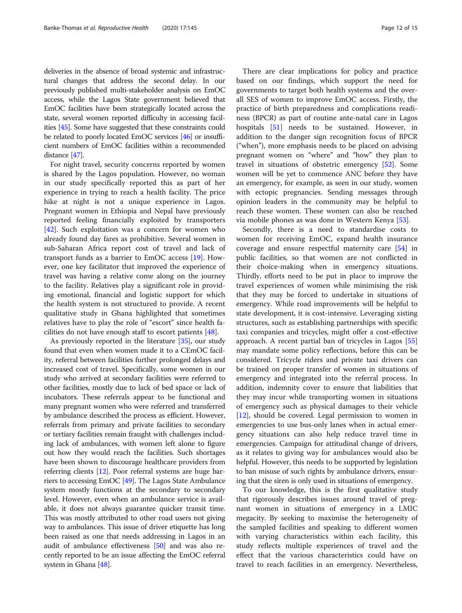deliveries in the absence of broad systemic and infrastructural changes that address the second delay. In our previously published multi-stakeholder analysis on EmOC access, while the Lagos State government believed that EmOC facilities have been strategically located across the state, several women reported difficulty in accessing facilities [\[45\]](#page-13-0). Some have suggested that these constraints could be related to poorly located EmOC services [[46](#page-13-0)] or insufficient numbers of EmOC facilities within a recommended distance [\[47\]](#page-13-0).

For night travel, security concerns reported by women is shared by the Lagos population. However, no woman in our study specifically reported this as part of her experience in trying to reach a health facility. The price hike at night is not a unique experience in Lagos. Pregnant women in Ethiopia and Nepal have previously reported feeling financially exploited by transporters [[42\]](#page-13-0). Such exploitation was a concern for women who already found day fares as prohibitive. Several women in sub-Saharan Africa report cost of travel and lack of transport funds as a barrier to EmOC access [[19\]](#page-13-0). However, one key facilitator that improved the experience of travel was having a relative come along on the journey to the facility. Relatives play a significant role in providing emotional, financial and logistic support for which the health system is not structured to provide. A recent qualitative study in Ghana highlighted that sometimes relatives have to play the role of "escort" since health facilities do not have enough staff to escort patients [\[48](#page-13-0)].

As previously reported in the literature [[35](#page-13-0)], our study found that even when women made it to a CEmOC facility, referral between facilities further prolonged delays and increased cost of travel. Specifically, some women in our study who arrived at secondary facilities were referred to other facilities, mostly due to lack of bed space or lack of incubators. These referrals appear to be functional and many pregnant women who were referred and transferred by ambulance described the process as efficient. However, referrals from primary and private facilities to secondary or tertiary facilities remain fraught with challenges including lack of ambulances, with women left alone to figure out how they would reach the facilities. Such shortages have been shown to discourage healthcare providers from referring clients [\[12\]](#page-13-0). Poor referral systems are huge barriers to accessing EmOC [[49](#page-13-0)]. The Lagos State Ambulance system mostly functions at the secondary to secondary level. However, even when an ambulance service is available, it does not always guarantee quicker transit time. This was mostly attributed to other road users not giving way to ambulances. This issue of driver etiquette has long been raised as one that needs addressing in Lagos in an audit of ambulance effectiveness [\[50\]](#page-13-0) and was also recently reported to be an issue affecting the EmOC referral system in Ghana [\[48\]](#page-13-0).

There are clear implications for policy and practice based on our findings, which support the need for governments to target both health systems and the overall SES of women to improve EmOC access. Firstly, the practice of birth preparedness and complications readiness (BPCR) as part of routine ante-natal care in Lagos hospitals [\[51](#page-13-0)] needs to be sustained. However, in addition to the danger sign recognition focus of BPCR ("when"), more emphasis needs to be placed on advising pregnant women on "where" and "how" they plan to travel in situations of obstetric emergency [[52](#page-14-0)]. Some women will be yet to commence ANC before they have an emergency, for example, as seen in our study, women with ectopic pregnancies. Sending messages through opinion leaders in the community may be helpful to reach these women. These women can also be reached via mobile phones as was done in Western Kenya [\[53](#page-14-0)].

Secondly, there is a need to standardise costs to women for receiving EmOC, expand health insurance coverage and ensure respectful maternity care [\[54](#page-14-0)] in public facilities, so that women are not conflicted in their choice-making when in emergency situations. Thirdly, efforts need to be put in place to improve the travel experiences of women while minimising the risk that they may be forced to undertake in situations of emergency. While road improvements will be helpful to state development, it is cost-intensive. Leveraging xisting structures, such as establishing partnerships with specific taxi companies and tricycles, might offer a cost-effective approach. A recent partial ban of tricycles in Lagos [[55](#page-14-0)] may mandate some policy reflections, before this can be considered. Tricycle riders and private taxi drivers can be trained on proper transfer of women in situations of emergency and integrated into the referral process. In addition, indemnity cover to ensure that liabilities that they may incur while transporting women in situations of emergency such as physical damages to their vehicle [[12\]](#page-13-0), should be covered. Legal permission to women in emergencies to use bus-only lanes when in actual emergency situations can also help reduce travel time in emergencies. Campaign for attitudinal change of drivers, as it relates to giving way for ambulances would also be helpful. However, this needs to be supported by legislation to ban misuse of such rights by ambulance drivers, ensuring that the siren is only used in situations of emergency.

To our knowledge, this is the first qualitative study that rigorously describes issues around travel of pregnant women in situations of emergency in a LMIC megacity. By seeking to maximise the heterogeneity of the sampled facilities and speaking to different women with varying characteristics within each facility, this study reflects multiple experiences of travel and the effect that the various characteristics could have on travel to reach facilities in an emergency. Nevertheless,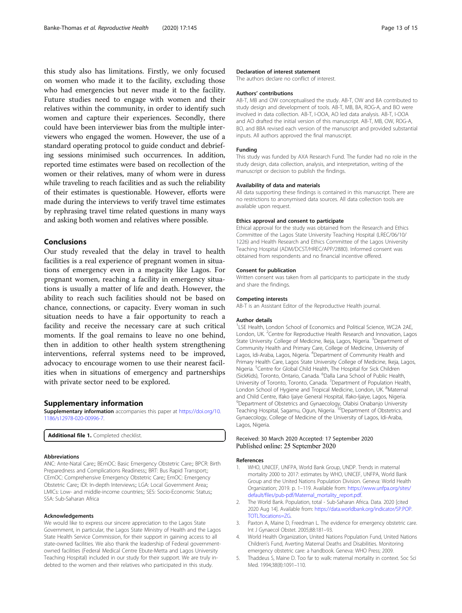<span id="page-12-0"></span>this study also has limitations. Firstly, we only focused on women who made it to the facility, excluding those who had emergencies but never made it to the facility. Future studies need to engage with women and their relatives within the community, in order to identify such women and capture their experiences. Secondly, there could have been interviewer bias from the multiple interviewers who engaged the women. However, the use of a standard operating protocol to guide conduct and debriefing sessions minimised such occurrences. In addition, reported time estimates were based on recollection of the women or their relatives, many of whom were in duress while traveling to reach facilities and as such the reliability of their estimates is questionable. However, efforts were made during the interviews to verify travel time estimates by rephrasing travel time related questions in many ways and asking both women and relatives where possible.

## **Conclusions**

Our study revealed that the delay in travel to health facilities is a real experience of pregnant women in situations of emergency even in a megacity like Lagos. For pregnant women, reaching a facility in emergency situations is usually a matter of life and death. However, the ability to reach such facilities should not be based on chance, connections, or capacity. Every woman in such situation needs to have a fair opportunity to reach a facility and receive the necessary care at such critical moments. If the goal remains to leave no one behind, then in addition to other health system strengthening interventions, referral systems need to be improved, advocacy to encourage women to use their nearest facilities when in situations of emergency and partnerships with private sector need to be explored.

#### Supplementary information

Supplementary information accompanies this paper at [https://doi.org/10.](https://doi.org/10.1186/s12978-020-00996-7) [1186/s12978-020-00996-7](https://doi.org/10.1186/s12978-020-00996-7).

Additional file 1. Completed checklist.

#### Abbreviations

ANC: Ante-Natal Care;; BEmOC: Basic Emergency Obstetric Care;; BPCR: Birth Preparedness and Complications Readiness;; BRT: Bus Rapid Transport;; CEmOC: Comprehensive Emergency Obstetric Care;; EmOC: Emergency Obstetric Care;; IDI: In-depth Interviews;; LGA: Local Government Area;; LMICs: Low- and middle-income countries;; SES: Socio-Economic Status;; SSA: Sub-Saharan Africa

#### Acknowledgements

We would like to express our sincere appreciation to the Lagos State Government, in particular, the Lagos State Ministry of Health and the Lagos State Health Service Commission, for their support in gaining access to all state-owned facilities. We also thank the leadership of Federal governmentowned facilities (Federal Medical Centre Ebute-Metta and Lagos University Teaching Hospital) included in our study for their support. We are truly indebted to the women and their relatives who participated in this study.

#### Declaration of interest statement

The authors declare no conflict of interest.

#### Authors' contributions

AB-T, MB and OW conceptualised the study. AB-T, OW and BA contributed to study design and development of tools. AB-T, MB, BA, ROG-A, and BO were involved in data collection. AB-T, I-OOA, AO led data analysis. AB-T, I-OOA and AO drafted the initial version of this manuscript. AB-T, MB, OW, ROG-A, BO, and BBA revised each version of the manuscript and provided substantial inputs. All authors approved the final manuscript.

#### Funding

This study was funded by AXA Research Fund. The funder had no role in the study design, data collection, analysis, and interpretation, writing of the manuscript or decision to publish the findings.

#### Availability of data and materials

All data supporting these findings is contained in this manuscript. There are no restrictions to anonymised data sources. All data collection tools are available upon request.

#### Ethics approval and consent to participate

Ethical approval for the study was obtained from the Research and Ethics Committee of the Lagos State University Teaching Hospital (LREC/06/10/ 1226) and Health Research and Ethics Committee of the Lagos University Teaching Hospital (ADM/DCST/HREC/APP/2880). Informed consent was obtained from respondents and no financial incentive offered.

#### Consent for publication

Written consent was taken from all participants to participate in the study and share the findings.

#### Competing interests

AB-T is an Assistant Editor of the Reproductive Health journal.

#### Author details

<sup>1</sup>LSE Health, London School of Economics and Political Science, WC2A 2AE London, UK.<sup>2</sup> Centre for Reproductive Health Research and Innovation, Lagos State University College of Medicine, Ikeja, Lagos, Nigeria. <sup>3</sup>Department of Community Health and Primary Care, College of Medicine, University of Lagos, Idi-Araba, Lagos, Nigeria. <sup>4</sup>Department of Community Health and Primary Health Care, Lagos State University College of Medicine, Ikeja, Lagos, Nigeria. <sup>5</sup>Centre for Global Child Health, The Hospital for Sick Children (SickKids), Toronto, Ontario, Canada. <sup>6</sup>Dalla Lana School of Public Health University of Toronto, Toronto, Canada. <sup>7</sup>Department of Population Health London School of Hygiene and Tropical Medicine, London, UK. <sup>8</sup>Maternal and Child Centre, Ifako Ijaiye General Hospital, Ifako-Ijaiye, Lagos, Nigeria. <sup>9</sup>Department of Obstetrics and Gynaecology, Olabisi Onabanjo University Teaching Hospital, Sagamu, Ogun, Nigeria.<sup>10</sup>Department of Obstetrics and Gynaecology, College of Medicine of the University of Lagos, Idi-Araba, Lagos, Nigeria.

## Received: 30 March 2020 Accepted: 17 September 2020 Published online: 25 September 2020

#### References

- 1. WHO, UNICEF, UNFPA, World Bank Group, UNDP. Trends in maternal mortality 2000 to 2017: estimates by WHO, UNICEF, UNFPA, World Bank Group and the United Nations Population Division. Geneva: World Health Organization; 2019. p. 1–119. Available from: [https://www.unfpa.org/sites/](https://www.unfpa.org/sites/default/files/pub-pdf/Maternal_mortality_report.pdf) [default/files/pub-pdf/Maternal\\_mortality\\_report.pdf.](https://www.unfpa.org/sites/default/files/pub-pdf/Maternal_mortality_report.pdf)
- 2. The World Bank. Population, total Sub-Saharan Africa. Data. 2020 [cited 2020 Aug 14]. Available from: [https://data.worldbank.org/indicator/SP.POP.](https://data.worldbank.org/indicator/SP.POP.TOTL?locations=ZG) [TOTL?locations=ZG.](https://data.worldbank.org/indicator/SP.POP.TOTL?locations=ZG)
- 3. Paxton A, Maine D, Freedman L. The evidence for emergency obstetric care. Int J Gynaecol Obstet. 2005;88:181–93.
- 4. World Health Organization, United Nations Population Fund, United Nations Children's Fund, Averting Maternal Deaths and Disabilities. Monitoring emergency obstetric care: a handbook. Geneva: WHO Press; 2009.
- 5. Thaddeus S, Maine D. Too far to walk: maternal mortality in context. Soc Sci Med. 1994;38(8):1091–110.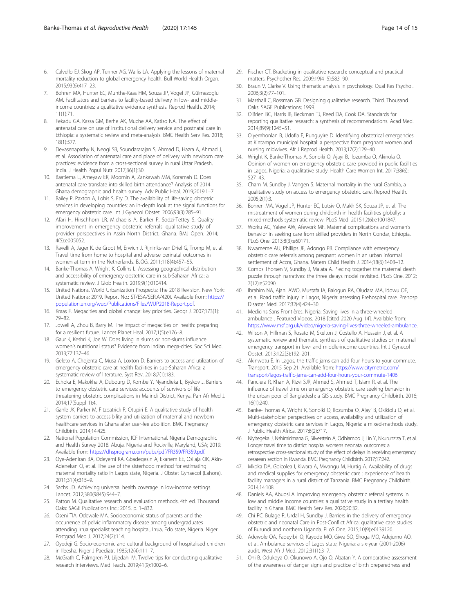- <span id="page-13-0"></span>6. Calvello EJ, Skog AP, Tenner AG, Wallis LA. Applying the lessons of maternal mortality reduction to global emergency health. Bull World Health Organ. 2015;93(6):417–23.
- 7. Bohren MA, Hunter EC, Munthe-Kaas HM, Souza JP, Vogel JP, Gülmezoglu AM. Facilitators and barriers to facility-based delivery in low- and middleincome countries: a qualitative evidence synthesis. Reprod Health. 2014; 11(1):71.
- 8. Fekadu GA, Kassa GM, Berhe AK, Muche AA, Katiso NA. The effect of antenatal care on use of institutional delivery service and postnatal care in Ethiopia: a systematic review and meta-analysis. BMC Health Serv Res. 2018; 18(1):577.
- 9. Devasenapathy N, Neogi SB, Soundararajan S, Ahmad D, Hazra A, Ahmad J, et al. Association of antenatal care and place of delivery with newborn care practices: evidence from a cross-sectional survey in rural Uttar Pradesh, India. J Health Popul Nutr. 2017;36(1):30.
- 10. Baatiema L, Ameyaw EK, Moomin A, Zankawah MM, Koramah D. Does antenatal care translate into skilled birth attendance? Analysis of 2014 Ghana demographic and health survey. Adv Public Heal. 2019;2019:1–7.
- 11. Bailey P, Paxton A, Lobis S, Fry D. The availability of life-saving obstetric services in developing countries: an in-depth look at the signal functions for emergency obstetric care. Int J Gynecol Obstet. 2006;93(3):285–91.
- 12. Afari H, Hirschhorn LR, Michaelis A, Barker P, Sodzi-Tettey S. Quality improvement in emergency obstetric referrals: qualitative study of provider perspectives in Assin North District, Ghana. BMJ Open. 2014; 4(5):e005052.
- 13. Ravelli A, Jager K, de Groot M, Erwich J, Rijninks-van Driel G, Tromp M, et al. Travel time from home to hospital and adverse perinatal outcomes in women at term in the Netherlands. BJOG. 2011;118(4):457–65.
- 14. Banke-Thomas A, Wright K, Collins L. Assessing geographical distribution and accessibility of emergency obstetric care in sub-Saharan Africa: a systematic review. J Glob Health. 2019;9(1):010414.
- 15. United Nations. World Urbanization Prospects: The 2018 Revision. New York: United Nations; 2019. Report No.: ST/ESA/SER.A/420). Available from: [https://](https://population.un.org/wup/Publications/Files/WUP2018-Report.pdf) [population.un.org/wup/Publications/Files/WUP2018-Report.pdf](https://population.un.org/wup/Publications/Files/WUP2018-Report.pdf).
- 16. Kraas F. Megacities and global change: key priorities. Geogr J. 2007;173(1): 79–82.
- 17. Jowell A, Zhou B, Barry M. The impact of megacities on health: preparing for a resilient future. Lancet Planet Heal. 2017;1(5):e176–8.
- 18. Gaur K, Keshri K, Joe W. Does living in slums or non-slums influence women's nutritional status? Evidence from Indian mega-cities. Soc Sci Med. 2013;77:137–46.
- 19. Geleto A, Chojenta C, Musa A, Loxton D. Barriers to access and utilization of emergency obstetric care at health facilities in sub-Saharan Africa: a systematic review of literature. Syst Rev. 2018;7(1):183.
- 20. Echoka E, Makokha A, Dubourg D, Kombe Y, Nyandieka L, Byskov J. Barriers to emergency obstetric care services: accounts of survivors of life threatening obstetric complications in Malindi District, Kenya. Pan Afr Med J. 2014;17(Suppl 1):4.
- 21. Ganle JK, Parker M, Fitzpatrick R, Otupiri E. A qualitative study of health system barriers to accessibility and utilization of maternal and newborn healthcare services in Ghana after user-fee abolition. BMC Pregnancy Childbirth. 2014;14:425.
- 22. National Population Commission, ICF International. Nigeria Demographic and Health Survey 2018. Abuja, Nigeria and Rockville, Maryland, USA; 2019. Available from: [https://dhsprogram.com/pubs/pdf/FR359/FR359.pdf.](https://dhsprogram.com/pubs/pdf/FR359/FR359.pdf)
- 23. Oye-Adeniran BA, Odeyemi KA, Gbadegesin A, Ekanem EE, Osilaja OK, Akin-Adenekan O, et al. The use of the sisterhood method for estimating maternal mortality ratio in Lagos state, Nigeria. J Obstet Gynaecol (Lahore). 2011;31(4):315–9.
- 24. Sachs JD. Achieving universal health coverage in low-income settings. Lancet. 2012;380(9845):944–7.
- 25. Patton M. Qualitative research and evaluation methods. 4th ed. Thousand Oaks: SAGE Publications Inc.; 2015. p. 1–832.
- 26. Oseni TIA, Odewale MA. Socioeconomic status of parents and the occurrence of pelvic inflammatory disease among undergraduates attending Irrua specialist teaching hospital, Irrua, Edo state, Nigeria. Niger Postgrad Med J. 2017;24(2):114.
- 27. Oyedeji G. Socio-economic and cultural background of hospitalised children in Ileesha. Niger J Paediatr. 1985;12(4):111–7.
- 28. McGrath C, Palmgren PJ, Liljedahl M. Twelve tips for conducting qualitative research interviews. Med Teach. 2019;41(9):1002–6.
- 29. Fischer CT. Bracketing in qualitative research: conceptual and practical matters. Psychother Res. 2009;19(4–5):583–90.
- 30. Braun V, Clarke V. Using thematic analysis in psychology. Qual Res Psychol. 2006;3(2):77–101.
- 31. Marshall C, Rossman GB. Designing qualitative research. Third. Thousand Oaks: SAGE Publications; 1999.
- 32. O'Brien BC, Harris IB, Beckman TJ, Reed DA, Cook DA. Standards for reporting qualitative research: a synthesis of recommendations. Acad Med. 2014;89(9):1245–51.
- 33. Oiyemhonlan B, Udofia E, Punguyire D. Identifying obstetrical emergencies at Kintampo municipal hospital: a perspective from pregnant women and nursing midwives. Afr J Reprod Health. 2013;17(2):129–40.
- 34. Wright K, Banke-Thomas A, Sonoiki O, Ajayi B, Ilozumba O, Akinola O. Opinion of women on emergency obstetric care provided in public facilities in Lagos, Nigeria: a qualitative study. Health Care Women Int. 2017;38(6): 527–43.
- 35. Cham M, Sundby J, Vangen S, Maternal mortality in the rural Gambia, a qualitative study on access to emergency obstetric care. Reprod Health.  $2005:2(1):3$
- 36. Bohren MA, Vogel JP, Hunter EC, Lutsiv O, Makh SK, Souza JP, et al. The mistreatment of women during childbirth in health facilities globally: a mixed-methods systematic review. PLoS Med. 2015;12(6):e1001847.
- 37. Worku AG, Yalew AW, Afework MF. Maternal complications and women's behavior in seeking care from skilled providers in North Gondar, Ethiopia. PLoS One. 2013;8(3):e60171.
- 38. Nwameme AU, Phillips JF, Adongo PB. Compliance with emergency obstetric care referrals among pregnant women in an urban informal settlement of Accra, Ghana. Matern Child Health J. 2014;18(6):1403–12.
- Combs Thorsen V, Sundby J, Malata A. Piecing together the maternal death puzzle through narratives: the three delays model revisited. PLoS One. 2012; 7(12):e52090.
- 40. Ibrahim NA, Ajani AWO, Mustafa IA, Balogun RA, Oludara MA, Idowu OE, et al. Road traffic injury in Lagos, Nigeria: assessing Prehospital care. Prehosp Disaster Med. 2017;32(4):424–30.
- 41. Medicins Sans Frontières. Nigeria: Saving lives in a three-wheeled ambulance . Featured Videos. 2018 [cited 2020 Aug 14]. Available from: <https://www.msf.org.uk/video/nigeria-saving-lives-three-wheeled-ambulance>.
- 42. Wilson A, Hillman S, Rosato M, Skelton J, Costello A, Hussein J, et al. A systematic review and thematic synthesis of qualitative studies on maternal emergency transport in low- and middle-income countries. Int J Gynecol Obstet. 2013;122(3):192–201.
- 43. Akinwotu E. In Lagos, the traffic jams can add four hours to your commute. Transport. 2015 Sep 21; Available from: [https://www.citymetric.com/](https://www.citymetric.com/transport/lagos-traffic-jams-can-add-four-hours-your-commute-1406) [transport/lagos-traffic-jams-can-add-four-hours-your-commute-1406.](https://www.citymetric.com/transport/lagos-traffic-jams-can-add-four-hours-your-commute-1406)
- 44. Panciera R, Khan A, Rizvi SJR, Ahmed S, Ahmed T, Islam R, et al. The influence of travel time on emergency obstetric care seeking behavior in the urban poor of Bangladesh: a GIS study. BMC Pregnancy Childbirth. 2016; 16(1):240.
- 45. Banke-Thomas A, Wright K, Sonoiki O, Ilozumba O, Ajayi B, Okikiolu O, et al. Multi-stakeholder perspectives on access, availability and utilization of emergency obstetric care services in Lagos, Nigeria: a mixed-methods study. J Public Health Africa. 2017;8(2):717.
- 46. Niyitegeka J, Nshimirimana G, Silverstein A, Odhiambo J, Lin Y, Nkurunziza T, et al. Longer travel time to district hospital worsens neonatal outcomes: a retrospective cross-sectional study of the effect of delays in receiving emergency cesarean section in Rwanda. BMC Pregnancy Childbirth. 2017;17:242.
- 47. Mkoka DA, Goicolea I, Kiwara A, Mwangu M, Hurtig A. Availability of drugs and medical supplies for emergency obstetric care : experience of health facility managers in a rural district of Tanzania. BMC Pregnancy Childbirth. 2014;14:108.
- 48. Daniels AA, Abuosi A. Improving emergency obstetric referral systems in low and middle income countries: a qualitative study in a tertiary health facility in Ghana. BMC Health Serv Res. 2020;20:32.
- 49. Chi PC, Bulage P, Urdal H, Sundby J. Barriers in the delivery of emergency obstetric and neonatal Care in Post-Conflict Africa: qualitative case studies of Burundi and northern Uganda. PLoS One. 2015;10(9):e0139120.
- 50. Adewole OA, Fadeyibi IO, Kayode MO, Giwa SO, Shoga MO, Adejumo AO, et al. Ambulance services of Lagos state, Nigeria: a six-year (2001-2006) audit. West Afr J Med. 2012;31(1):3–7.
- 51. Oni B, Odukoya O, Okunowo A, Ojo O, Abatan Y. A comparative assessment of the awareness of danger signs and practice of birth preparedness and